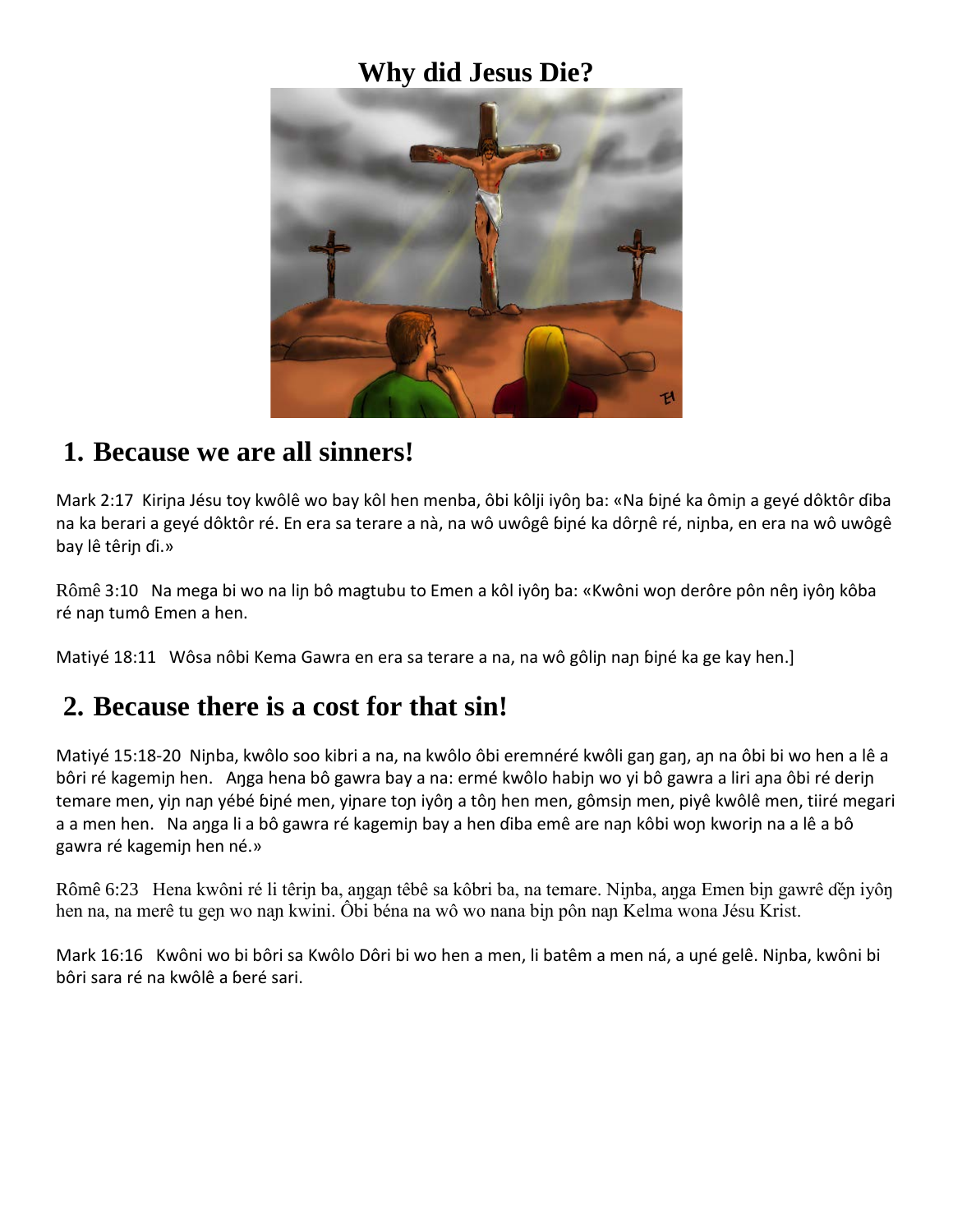## **Why did Jesus Die?**



### **1. Because we are all sinners!**

Mark 2:17 Kiriɲa Jésu toy kwôlê wo bay kôl hen menba, ôbi kôlji iyôŋ ba: «Na ɓiɲé ka ômiɲ a geyé dôktôr ɗiba na ka berari a geyé dôktôr ré. En era sa terare a nà, na wô uwôgê ɓiɲé ka dôrɲê ré, niɲba, en era na wô uwôgê bay lê têriɲ ɗi.»

Rômê 3:10 Na mega bi wo na lin bô magtubu to Emen a kôl iyôn ba: «Kwôni won derôre pôn nên iyôn kôba ré naɲ tumô Emen a hen.

Matiyé 18:11 Wôsa nôbi Kema Gawra en era sa terare a na, na wô gôlin nan biné ka ge kay hen.]

## **2. Because there is a cost for that sin!**

Matiyé 15:18-20 Niɲba, kwôlo soo kibri a na, na kwôlo ôbi eremnéré kwôli gaŋ gaŋ, aɲ na ôbi bi wo hen a lê a bôri ré kagemin hen. Anga hena bô gawra bay a na: ermé kwôlo habin wo yi bô gawra a liri ana ôbi ré derin temare men, yin nan yébé biné men, yinare ton iyôn a tôn hen men, gômsin men, piyê kwôlê men, tiiré megari a a men hen. Na anga li a bô gawra ré kagemin bay a hen diba emê are nan kôbi won kworin na a lê a bô gawra ré kagemiɲ hen né.»

Rômê 6:23 Hena kwôni ré li têrin ba, angan têbê sa kôbri ba, na temare. Ninba, anga Emen bin gawrê dén iyôn hen na, na merê tu gen wo nan kwini. Ôbi béna na wô wo nana bin pôn nan Kelma wona Jésu Krist.

Mark 16:16 Kwôni wo bi bôri sa Kwôlo Dôri bi wo hen a men, li batêm a men ná, a uɲé gelê. Niɲba, kwôni bi bôri sara ré na kwôlê a ɓeré sari.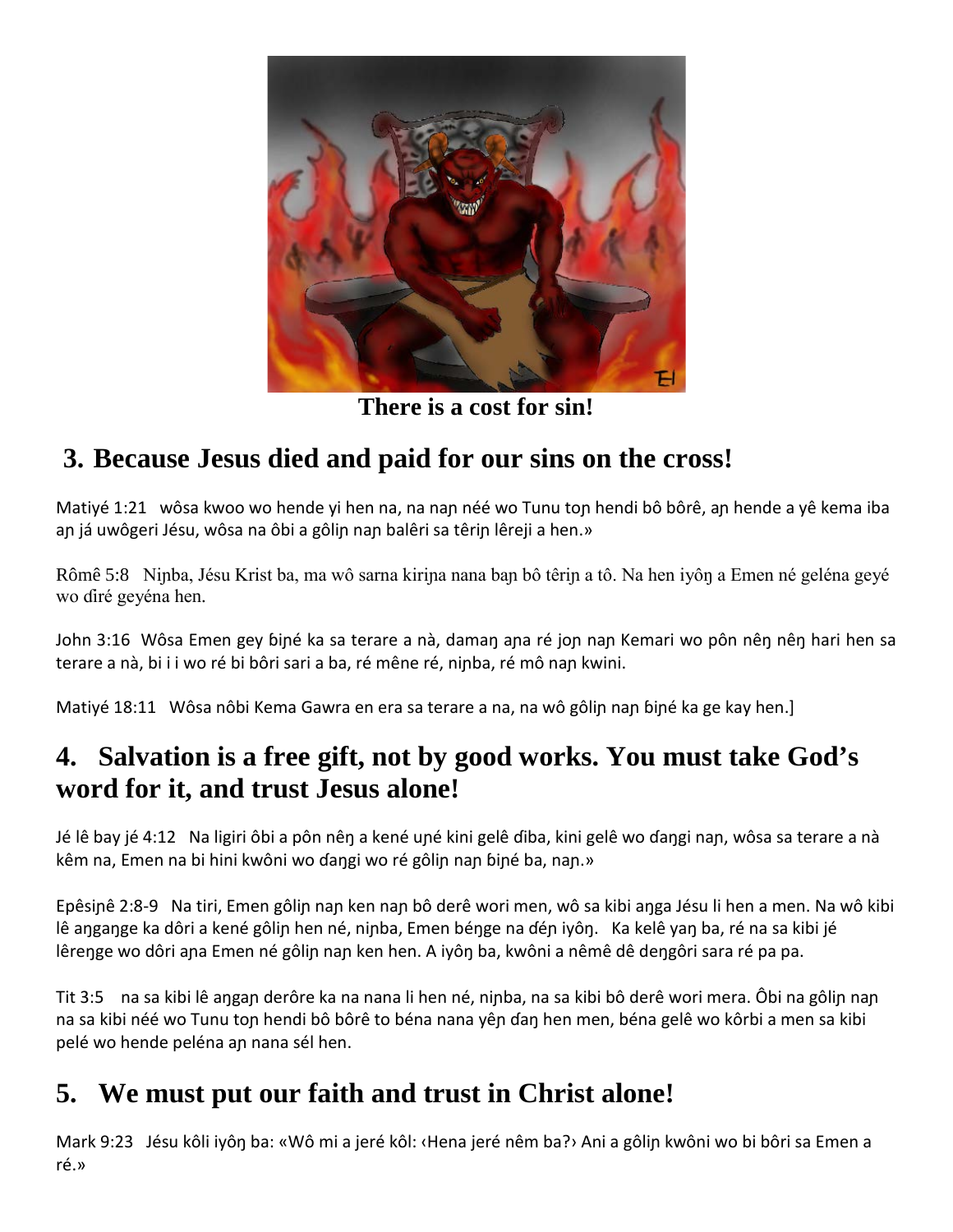

**There is a cost for sin!**

# **3. Because Jesus died and paid for our sins on the cross!**

Matiyé 1:21 wôsa kwoo wo hende yi hen na, na nan néé wo Tunu ton hendi bô bôrê, an hende a yê kema iba an já uwôgeri Jésu, wôsa na ôbi a gôlin nan balêri sa têrin lêreji a hen.»

Rômê 5:8 Niɲba, Jésu Krist ba, ma wô sarna kiriɲa nana baɲ bô têriɲ a tô. Na hen iyôŋ a Emen né geléna geyé wo ɗiré geyéna hen.

John 3:16 Wôsa Emen gey biné ka sa terare a nà, daman ana ré jon nan Kemari wo pôn nên nên hari hen sa terare a nà, bi i i wo ré bi bôri sari a ba, ré mêne ré, ninba, ré mô nan kwini.

Matiyé 18:11 Wôsa nôbi Kema Gawra en era sa terare a na, na wô gôlin nan biné ka ge kay hen.]

# **4. Salvation is a free gift, not by good works. You must take God's word for it, and trust Jesus alone!**

Jé lê bay jé 4:12 Na ligiri ôbi a pôn nêŋ a kené uɲé kini gelê ɗiba, kini gelê wo ɗaŋgi naɲ, wôsa sa terare a nà kêm na, Emen na bi hini kwôni wo ɗangi wo ré gôlin nan biné ba, nan.»

Epêsiɲê 2:8-9 Na tiri, Emen gôliɲ naɲ ken naɲ bô derê wori men, wô sa kibi aŋga Jésu li hen a men. Na wô kibi lê aŋgaŋge ka dôri a kené gôlin hen né, niɲba, Emen béŋge na ɗén iyôŋ. Ka kelê yaŋ ba, ré na sa kibi jé lêrenge wo dôri ana Emen né gôlin nan ken hen. A iyôn ba, kwôni a nêmê dê dengôri sara ré pa pa.

Tit 3:5 na sa kibi lê aŋgaɲ derôre ka na nana li hen né, niɲba, na sa kibi bô derê wori mera. Ôbi na gôliɲ naɲ na sa kibi néé wo Tunu ton hendi bô bôrê to béna nana yên ɗan hen men, béna gelê wo kôrbi a men sa kibi pelé wo hende peléna aɲ nana sél hen.

# **5. We must put our faith and trust in Christ alone!**

Mark 9:23 Jésu kôli iyôŋ ba: «Wô mi a jeré kôl: ‹Hena jeré nêm ba?› Ani a gôliɲ kwôni wo bi bôri sa Emen a ré.»